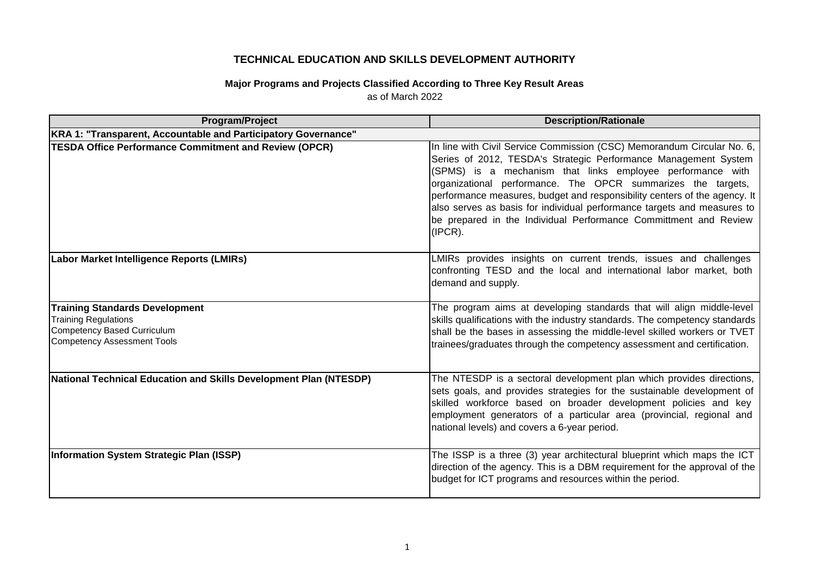## **TECHNICAL EDUCATION AND SKILLS DEVELOPMENT AUTHORITY**

## **Major Programs and Projects Classified According to Three Key Result Areas** as of March 2022

| Program/Project                                                                                                                           | <b>Description/Rationale</b>                                                                                                                                                                                                                                                                                                                                                                                                                                                                                      |
|-------------------------------------------------------------------------------------------------------------------------------------------|-------------------------------------------------------------------------------------------------------------------------------------------------------------------------------------------------------------------------------------------------------------------------------------------------------------------------------------------------------------------------------------------------------------------------------------------------------------------------------------------------------------------|
| KRA 1: "Transparent, Accountable and Participatory Governance"                                                                            |                                                                                                                                                                                                                                                                                                                                                                                                                                                                                                                   |
| <b>TESDA Office Performance Commitment and Review (OPCR)</b>                                                                              | In line with Civil Service Commission (CSC) Memorandum Circular No. 6,<br>Series of 2012, TESDA's Strategic Performance Management System<br>(SPMS) is a mechanism that links employee performance with<br>organizational performance. The OPCR summarizes the targets,<br>performance measures, budget and responsibility centers of the agency. It<br>also serves as basis for individual performance targets and measures to<br>be prepared in the Individual Performance Committment and Review<br>$(IPCR)$ . |
| Labor Market Intelligence Reports (LMIRs)                                                                                                 | LMIRs provides insights on current trends, issues and challenges<br>confronting TESD and the local and international labor market, both<br>demand and supply.                                                                                                                                                                                                                                                                                                                                                     |
| <b>Training Standards Development</b><br><b>Training Regulations</b><br>Competency Based Curriculum<br><b>Competency Assessment Tools</b> | The program aims at developing standards that will align middle-level<br>skills qualifications with the industry standards. The competency standards<br>shall be the bases in assessing the middle-level skilled workers or TVET<br>trainees/graduates through the competency assessment and certification.                                                                                                                                                                                                       |
| <b>National Technical Education and Skills Development Plan (NTESDP)</b>                                                                  | The NTESDP is a sectoral development plan which provides directions,<br>sets goals, and provides strategies for the sustainable development of<br>skilled workforce based on broader development policies and key<br>employment generators of a particular area (provincial, regional and<br>national levels) and covers a 6-year period.                                                                                                                                                                         |
| Information System Strategic Plan (ISSP)                                                                                                  | The ISSP is a three (3) year architectural blueprint which maps the ICT<br>direction of the agency. This is a DBM requirement for the approval of the<br>budget for ICT programs and resources within the period.                                                                                                                                                                                                                                                                                                 |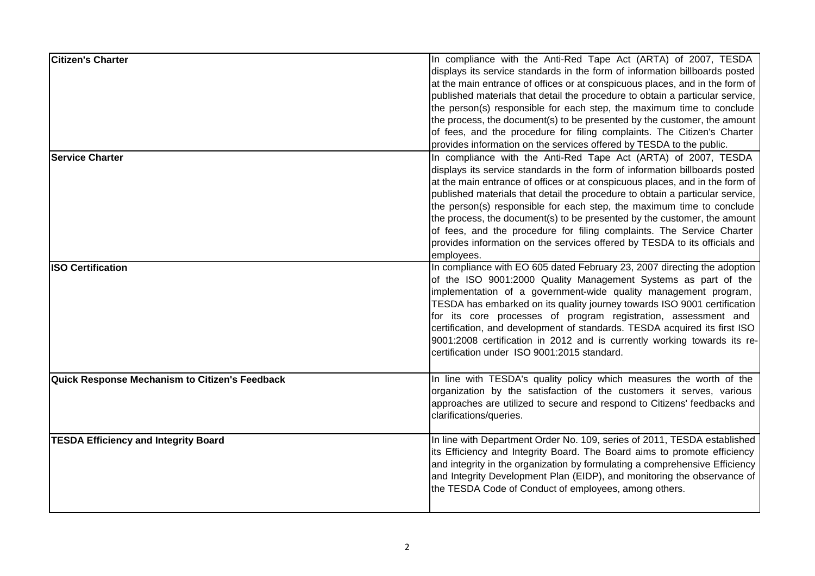| <b>Citizen's Charter</b>                       | In compliance with the Anti-Red Tape Act (ARTA) of 2007, TESDA<br>displays its service standards in the form of information billboards posted<br>at the main entrance of offices or at conspicuous places, and in the form of<br>published materials that detail the procedure to obtain a particular service,<br>the person(s) responsible for each step, the maximum time to conclude<br>the process, the document(s) to be presented by the customer, the amount<br>of fees, and the procedure for filing complaints. The Citizen's Charter<br>provides information on the services offered by TESDA to the public.                   |
|------------------------------------------------|------------------------------------------------------------------------------------------------------------------------------------------------------------------------------------------------------------------------------------------------------------------------------------------------------------------------------------------------------------------------------------------------------------------------------------------------------------------------------------------------------------------------------------------------------------------------------------------------------------------------------------------|
| <b>Service Charter</b>                         | In compliance with the Anti-Red Tape Act (ARTA) of 2007, TESDA<br>displays its service standards in the form of information billboards posted<br>at the main entrance of offices or at conspicuous places, and in the form of<br>published materials that detail the procedure to obtain a particular service,<br>the person(s) responsible for each step, the maximum time to conclude<br>the process, the document(s) to be presented by the customer, the amount<br>of fees, and the procedure for filing complaints. The Service Charter<br>provides information on the services offered by TESDA to its officials and<br>employees. |
| <b>ISO Certification</b>                       | In compliance with EO 605 dated February 23, 2007 directing the adoption<br>of the ISO 9001:2000 Quality Management Systems as part of the<br>implementation of a government-wide quality management program,<br>TESDA has embarked on its quality journey towards ISO 9001 certification<br>for its core processes of program registration, assessment and<br>certification, and development of standards. TESDA acquired its first ISO<br>9001:2008 certification in 2012 and is currently working towards its re-<br>certification under ISO 9001:2015 standard.                                                                      |
| Quick Response Mechanism to Citizen's Feedback | In line with TESDA's quality policy which measures the worth of the<br>organization by the satisfaction of the customers it serves, various<br>approaches are utilized to secure and respond to Citizens' feedbacks and<br>clarifications/queries.                                                                                                                                                                                                                                                                                                                                                                                       |
| <b>TESDA Efficiency and Integrity Board</b>    | In line with Department Order No. 109, series of 2011, TESDA established<br>its Efficiency and Integrity Board. The Board aims to promote efficiency<br>and integrity in the organization by formulating a comprehensive Efficiency<br>and Integrity Development Plan (EIDP), and monitoring the observance of<br>the TESDA Code of Conduct of employees, among others.                                                                                                                                                                                                                                                                  |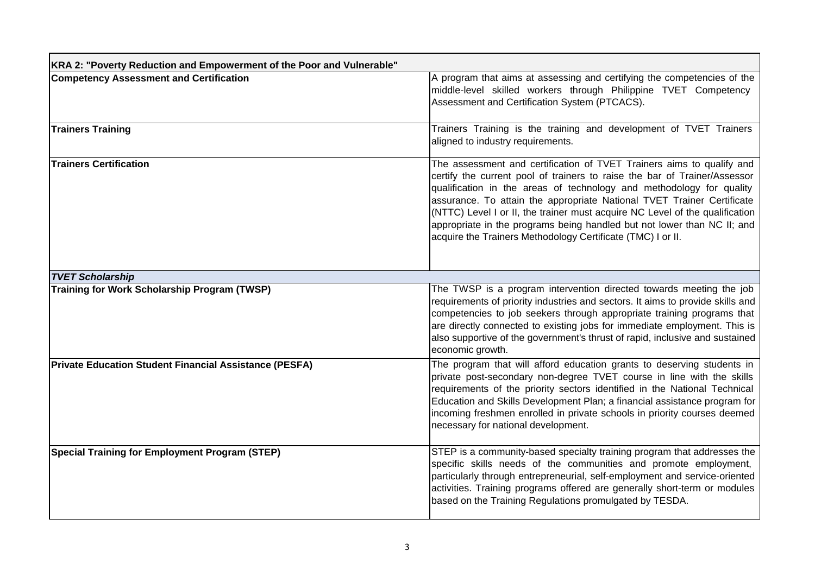| KRA 2: "Poverty Reduction and Empowerment of the Poor and Vulnerable" |                                                                                                                                                                                                                                                                                                                                                                                                                                                                                                                                |  |
|-----------------------------------------------------------------------|--------------------------------------------------------------------------------------------------------------------------------------------------------------------------------------------------------------------------------------------------------------------------------------------------------------------------------------------------------------------------------------------------------------------------------------------------------------------------------------------------------------------------------|--|
| <b>Competency Assessment and Certification</b>                        | A program that aims at assessing and certifying the competencies of the<br>middle-level skilled workers through Philippine TVET Competency<br>Assessment and Certification System (PTCACS).                                                                                                                                                                                                                                                                                                                                    |  |
| <b>Trainers Training</b>                                              | Trainers Training is the training and development of TVET Trainers<br>aligned to industry requirements.                                                                                                                                                                                                                                                                                                                                                                                                                        |  |
| <b>Trainers Certification</b>                                         | The assessment and certification of TVET Trainers aims to qualify and<br>certify the current pool of trainers to raise the bar of Trainer/Assessor<br>qualification in the areas of technology and methodology for quality<br>assurance. To attain the appropriate National TVET Trainer Certificate<br>(NTTC) Level I or II, the trainer must acquire NC Level of the qualification<br>appropriate in the programs being handled but not lower than NC II; and<br>acquire the Trainers Methodology Certificate (TMC) I or II. |  |
| <b>TVET Scholarship</b>                                               |                                                                                                                                                                                                                                                                                                                                                                                                                                                                                                                                |  |
| <b>Training for Work Scholarship Program (TWSP)</b>                   | The TWSP is a program intervention directed towards meeting the job<br>requirements of priority industries and sectors. It aims to provide skills and<br>competencies to job seekers through appropriate training programs that<br>are directly connected to existing jobs for immediate employment. This is<br>also supportive of the government's thrust of rapid, inclusive and sustained<br>economic growth.                                                                                                               |  |
| <b>Private Education Student Financial Assistance (PESFA)</b>         | The program that will afford education grants to deserving students in<br>private post-secondary non-degree TVET course in line with the skills<br>requirements of the priority sectors identified in the National Technical<br>Education and Skills Development Plan; a financial assistance program for<br>incoming freshmen enrolled in private schools in priority courses deemed<br>necessary for national development.                                                                                                   |  |
| <b>Special Training for Employment Program (STEP)</b>                 | STEP is a community-based specialty training program that addresses the<br>specific skills needs of the communities and promote employment,<br>particularly through entrepreneurial, self-employment and service-oriented<br>activities. Training programs offered are generally short-term or modules<br>based on the Training Regulations promulgated by TESDA.                                                                                                                                                              |  |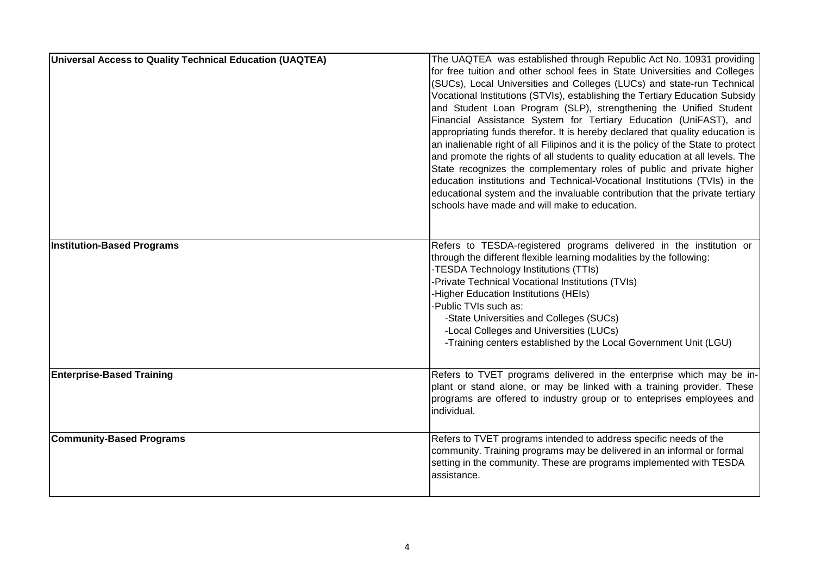| Universal Access to Quality Technical Education (UAQTEA) | The UAQTEA was established through Republic Act No. 10931 providing<br>for free tuition and other school fees in State Universities and Colleges<br>(SUCs), Local Universities and Colleges (LUCs) and state-run Technical<br>Vocational Institutions (STVIs), establishing the Tertiary Education Subsidy<br>and Student Loan Program (SLP), strengthening the Unified Student<br>Financial Assistance System for Tertiary Education (UniFAST), and<br>appropriating funds therefor. It is hereby declared that quality education is<br>an inalienable right of all Filipinos and it is the policy of the State to protect<br>and promote the rights of all students to quality education at all levels. The<br>State recognizes the complementary roles of public and private higher<br>education institutions and Technical-Vocational Institutions (TVIs) in the<br>educational system and the invaluable contribution that the private tertiary<br>schools have made and will make to education. |
|----------------------------------------------------------|-------------------------------------------------------------------------------------------------------------------------------------------------------------------------------------------------------------------------------------------------------------------------------------------------------------------------------------------------------------------------------------------------------------------------------------------------------------------------------------------------------------------------------------------------------------------------------------------------------------------------------------------------------------------------------------------------------------------------------------------------------------------------------------------------------------------------------------------------------------------------------------------------------------------------------------------------------------------------------------------------------|
| <b>Institution-Based Programs</b>                        | Refers to TESDA-registered programs delivered in the institution or<br>through the different flexible learning modalities by the following:<br>-TESDA Technology Institutions (TTIs)<br>-Private Technical Vocational Institutions (TVIs)<br>-Higher Education Institutions (HEIs)<br>-Public TVIs such as:<br>-State Universities and Colleges (SUCs)<br>-Local Colleges and Universities (LUCs)<br>-Training centers established by the Local Government Unit (LGU)                                                                                                                                                                                                                                                                                                                                                                                                                                                                                                                                 |
| <b>Enterprise-Based Training</b>                         | Refers to TVET programs delivered in the enterprise which may be in-<br>plant or stand alone, or may be linked with a training provider. These<br>programs are offered to industry group or to enteprises employees and<br>individual.                                                                                                                                                                                                                                                                                                                                                                                                                                                                                                                                                                                                                                                                                                                                                                |
| <b>Community-Based Programs</b>                          | Refers to TVET programs intended to address specific needs of the<br>community. Training programs may be delivered in an informal or formal<br>setting in the community. These are programs implemented with TESDA<br>assistance.                                                                                                                                                                                                                                                                                                                                                                                                                                                                                                                                                                                                                                                                                                                                                                     |